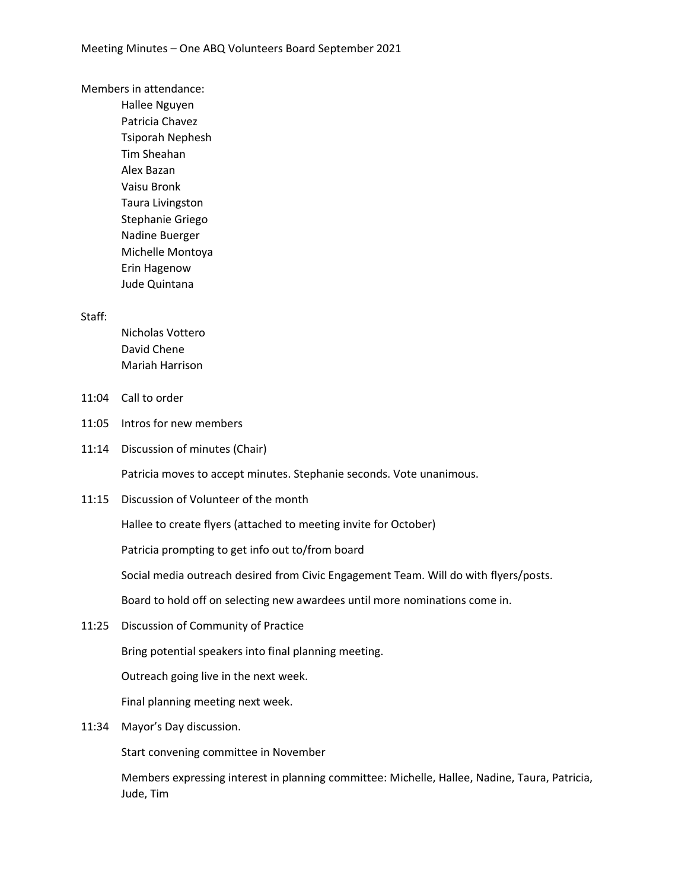Members in attendance:

Hallee Nguyen Patricia Chavez Tsiporah Nephesh Tim Sheahan Alex Bazan Vaisu Bronk Taura Livingston Stephanie Griego Nadine Buerger Michelle Montoya Erin Hagenow Jude Quintana

## Staff:

Nicholas Vottero David Chene Mariah Harrison

- 11:04 Call to order
- 11:05 Intros for new members
- 11:14 Discussion of minutes (Chair)

Patricia moves to accept minutes. Stephanie seconds. Vote unanimous.

11:15 Discussion of Volunteer of the month

Hallee to create flyers (attached to meeting invite for October)

Patricia prompting to get info out to/from board

Social media outreach desired from Civic Engagement Team. Will do with flyers/posts.

Board to hold off on selecting new awardees until more nominations come in.

11:25 Discussion of Community of Practice

Bring potential speakers into final planning meeting.

Outreach going live in the next week.

Final planning meeting next week.

11:34 Mayor's Day discussion.

Start convening committee in November

Members expressing interest in planning committee: Michelle, Hallee, Nadine, Taura, Patricia, Jude, Tim